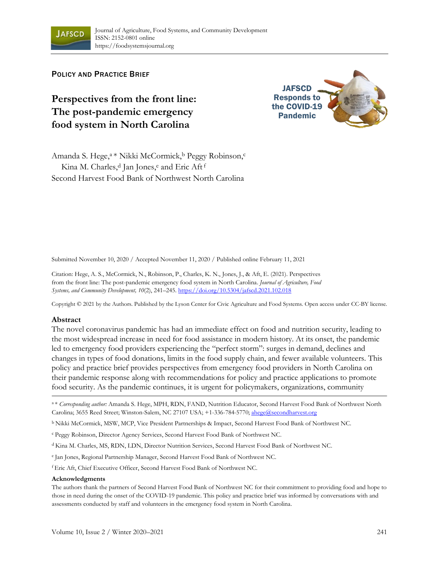

POLICY AND PRACTICE BRIEF

# **Perspectives from the front line: The post-pandemic emergency food system in North Carolina**



Amanda S. Hege,<sup>a \*</sup> Nikki McCormick,<sup>b</sup> Peggy Robinson,<sup>c</sup> Kina M. Charles,<sup>d</sup> Jan Jones,<sup>e</sup> and Eric Aft<sup>f</sup> Second Harvest Food Bank of Northwest North Carolina

Submitted November 10, 2020 / Accepted November 11, 2020 / Published online February 11, 2021

Citation: Hege, A. S., McCormick, N., Robinson, P., Charles, K. N., Jones, J., & Aft, E. (2021). Perspectives from the front line: The post-pandemic emergency food system in North Carolina. *Journal of Agriculture, Food Systems, and Community Development, 10*(2), 241–245. https://doi.org/10.5304/jafscd.2021.102.018

Copyright © 2021 by the Authors. Published by the Lyson Center for Civic Agriculture and Food Systems. Open access under CC-BY license.

#### **Abstract**

The novel coronavirus pandemic has had an immediate effect on food and nutrition security, leading to the most widespread increase in need for food assistance in modern history. At its onset, the pandemic led to emergency food providers experiencing the "perfect storm": surges in demand, declines and changes in types of food donations, limits in the food supply chain, and fewer available volunteers. This policy and practice brief provides perspectives from emergency food providers in North Carolina on their pandemic response along with recommendations for policy and practice applications to promote food security. As the pandemic continues, it is urgent for policymakers, organizations, community

a\* Corresponding author: Amanda S. Hege, MPH, RDN, FAND, Nutrition Educator, Second Harvest Food Bank of Northwest North Carolina; 3655 Reed Street; Winston-Salem, NC 27107 USA; +1-336-784-5770; ahege@secondharvest.org

b Nikki McCormick, MSW, MCP, Vice President Partnerships & Impact, Second Harvest Food Bank of Northwest NC.

<sup>c</sup>Peggy Robinson, Director Agency Services, Second Harvest Food Bank of Northwest NC.

d Kina M. Charles, MS, RDN, LDN, Director Nutrition Services, Second Harvest Food Bank of Northwest NC.

<sup>e</sup>Jan Jones, Regional Partnership Manager, Second Harvest Food Bank of Northwest NC.

<sup>f</sup>Eric Aft, Chief Executive Officer, Second Harvest Food Bank of Northwest NC.

#### **Acknowledgments**

The authors thank the partners of Second Harvest Food Bank of Northwest NC for their commitment to providing food and hope to those in need during the onset of the COVID-19 pandemic. This policy and practice brief was informed by conversations with and assessments conducted by staff and volunteers in the emergency food system in North Carolina.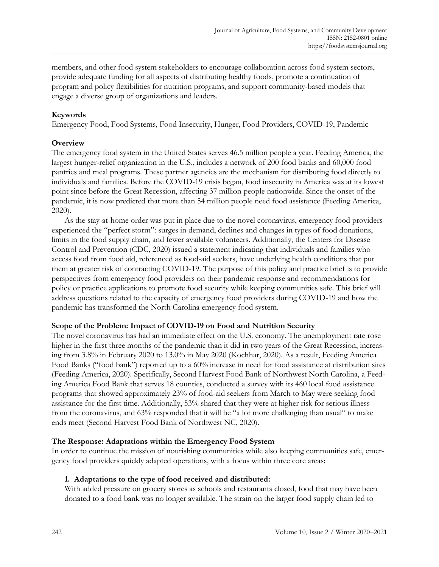members, and other food system stakeholders to encourage collaboration across food system sectors, provide adequate funding for all aspects of distributing healthy foods, promote a continuation of program and policy flexibilities for nutrition programs, and support community-based models that engage a diverse group of organizations and leaders.

# **Keywords**

Emergency Food, Food Systems, Food Insecurity, Hunger, Food Providers, COVID-19, Pandemic

## **Overview**

The emergency food system in the United States serves 46.5 million people a year. Feeding America, the largest hunger-relief organization in the U.S., includes a network of 200 food banks and 60,000 food pantries and meal programs. These partner agencies are the mechanism for distributing food directly to individuals and families. Before the COVID-19 crisis began, food insecurity in America was at its lowest point since before the Great Recession, affecting 37 million people nationwide. Since the onset of the pandemic, it is now predicted that more than 54 million people need food assistance (Feeding America, 2020).

As the stay-at-home order was put in place due to the novel coronavirus, emergency food providers experienced the "perfect storm": surges in demand, declines and changes in types of food donations, limits in the food supply chain, and fewer available volunteers. Additionally, the Centers for Disease Control and Prevention (CDC, 2020) issued a statement indicating that individuals and families who access food from food aid, referenced as food-aid seekers, have underlying health conditions that put them at greater risk of contracting COVID-19. The purpose of this policy and practice brief is to provide perspectives from emergency food providers on their pandemic response and recommendations for policy or practice applications to promote food security while keeping communities safe. This brief will address questions related to the capacity of emergency food providers during COVID-19 and how the pandemic has transformed the North Carolina emergency food system.

#### **Scope of the Problem: Impact of COVID-19 on Food and Nutrition Security**

The novel coronavirus has had an immediate effect on the U.S. economy. The unemployment rate rose higher in the first three months of the pandemic than it did in two years of the Great Recession, increasing from 3.8% in February 2020 to 13.0% in May 2020 (Kochhar, 2020). As a result, Feeding America Food Banks ("food bank") reported up to a 60% increase in need for food assistance at distribution sites (Feeding America, 2020). Specifically, Second Harvest Food Bank of Northwest North Carolina, a Feeding America Food Bank that serves 18 counties, conducted a survey with its 460 local food assistance programs that showed approximately 23% of food-aid seekers from March to May were seeking food assistance for the first time. Additionally, 53% shared that they were at higher risk for serious illness from the coronavirus, and 63% responded that it will be "a lot more challenging than usual" to make ends meet (Second Harvest Food Bank of Northwest NC, 2020).

## **The Response: Adaptations within the Emergency Food System**

In order to continue the mission of nourishing communities while also keeping communities safe, emergency food providers quickly adapted operations, with a focus within three core areas:

## **1. Adaptations to the type of food received and distributed:**

With added pressure on grocery stores as schools and restaurants closed, food that may have been donated to a food bank was no longer available. The strain on the larger food supply chain led to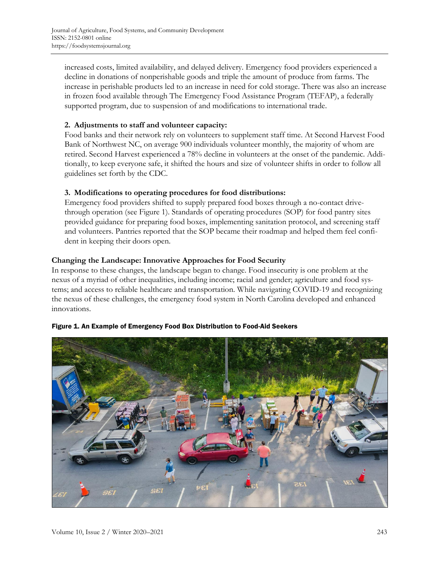increased costs, limited availability, and delayed delivery. Emergency food providers experienced a decline in donations of nonperishable goods and triple the amount of produce from farms. The increase in perishable products led to an increase in need for cold storage. There was also an increase in frozen food available through The Emergency Food Assistance Program (TEFAP), a federally supported program, due to suspension of and modifications to international trade.

#### **2. Adjustments to staff and volunteer capacity:**

Food banks and their network rely on volunteers to supplement staff time. At Second Harvest Food Bank of Northwest NC, on average 900 individuals volunteer monthly, the majority of whom are retired. Second Harvest experienced a 78% decline in volunteers at the onset of the pandemic. Additionally, to keep everyone safe, it shifted the hours and size of volunteer shifts in order to follow all guidelines set forth by the CDC.

#### **3. Modifications to operating procedures for food distributions:**

Emergency food providers shifted to supply prepared food boxes through a no-contact drivethrough operation (see Figure 1). Standards of operating procedures (SOP) for food pantry sites provided guidance for preparing food boxes, implementing sanitation protocol, and screening staff and volunteers. Pantries reported that the SOP became their roadmap and helped them feel confident in keeping their doors open.

#### **Changing the Landscape: Innovative Approaches for Food Security**

In response to these changes, the landscape began to change. Food insecurity is one problem at the nexus of a myriad of other inequalities, including income; racial and gender; agriculture and food systems; and access to reliable healthcare and transportation. While navigating COVID-19 and recognizing the nexus of these challenges, the emergency food system in North Carolina developed and enhanced innovations.



#### Figure 1. An Example of Emergency Food Box Distribution to Food-Aid Seekers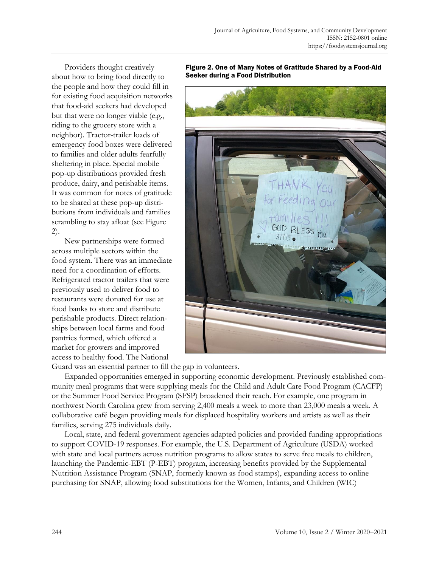Providers thought creatively about how to bring food directly to the people and how they could fill in for existing food acquisition networks that food-aid seekers had developed but that were no longer viable (e.g., riding to the grocery store with a neighbor). Tractor-trailer loads of emergency food boxes were delivered to families and older adults fearfully sheltering in place. Special mobile pop-up distributions provided fresh produce, dairy, and perishable items. It was common for notes of gratitude to be shared at these pop-up distributions from individuals and families scrambling to stay afloat (see Figure 2).

New partnerships were formed across multiple sectors within the food system. There was an immediate need for a coordination of efforts. Refrigerated tractor trailers that were previously used to deliver food to restaurants were donated for use at food banks to store and distribute perishable products. Direct relationships between local farms and food pantries formed, which offered a market for growers and improved access to healthy food. The National



Figure 2. One of Many Notes of Gratitude Shared by a Food-Aid Seeker during a Food Distribution

Guard was an essential partner to fill the gap in volunteers.

Expanded opportunities emerged in supporting economic development. Previously established community meal programs that were supplying meals for the Child and Adult Care Food Program (CACFP) or the Summer Food Service Program (SFSP) broadened their reach. For example, one program in northwest North Carolina grew from serving 2,400 meals a week to more than 23,000 meals a week. A collaborative café began providing meals for displaced hospitality workers and artists as well as their families, serving 275 individuals daily.

Local, state, and federal government agencies adapted policies and provided funding appropriations to support COVID-19 responses. For example, the U.S. Department of Agriculture (USDA) worked with state and local partners across nutrition programs to allow states to serve free meals to children, launching the Pandemic-EBT (P-EBT) program, increasing benefits provided by the Supplemental Nutrition Assistance Program (SNAP, formerly known as food stamps), expanding access to online purchasing for SNAP, allowing food substitutions for the Women, Infants, and Children (WIC)